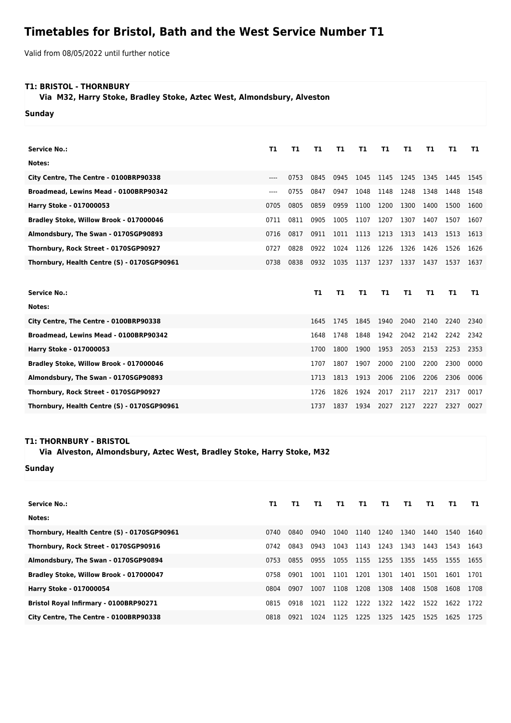## **Timetables for Bristol, Bath and the West Service Number T1**

Valid from 08/05/2022 until further notice

## **T1: BRISTOL - THORNBURY**

 **Via M32, Harry Stoke, Bradley Stoke, Aztec West, Almondsbury, Alveston**

**Sunday**

| <b>Service No.:</b>                         | T1   | T1   | <b>T1</b> | T1   | T1        | T1   | T1   | <b>T1</b> | T1   | T1   |
|---------------------------------------------|------|------|-----------|------|-----------|------|------|-----------|------|------|
| Notes:                                      |      |      |           |      |           |      |      |           |      |      |
| City Centre, The Centre - 0100BRP90338      | ---- | 0753 | 0845      | 0945 | 1045      | 1145 | 1245 | 1345      | 1445 | 1545 |
| Broadmead, Lewins Mead - 0100BRP90342       | ---- | 0755 | 0847      | 0947 | 1048      | 1148 | 1248 | 1348      | 1448 | 1548 |
| Harry Stoke - 017000053                     | 0705 | 0805 | 0859      | 0959 | 1100      | 1200 | 1300 | 1400      | 1500 | 1600 |
| Bradley Stoke, Willow Brook - 017000046     | 0711 | 0811 | 0905      | 1005 | 1107      | 1207 | 1307 | 1407      | 1507 | 1607 |
| Almondsbury, The Swan - 0170SGP90893        | 0716 | 0817 | 0911      | 1011 | 1113      | 1213 | 1313 | 1413      | 1513 | 1613 |
| Thornbury, Rock Street - 0170SGP90927       | 0727 | 0828 | 0922      | 1024 | 1126      | 1226 | 1326 | 1426      | 1526 | 1626 |
| Thornbury, Health Centre (S) - 0170SGP90961 | 0738 | 0838 | 0932      | 1035 | 1137      | 1237 | 1337 | 1437      | 1537 | 1637 |
|                                             |      |      |           |      |           |      |      |           |      |      |
|                                             |      |      |           |      |           |      |      |           |      |      |
| <b>Service No.:</b>                         |      |      | T1        | T1   | <b>T1</b> | T1   | T1   | <b>T1</b> | T1   | T1   |
| Notes:                                      |      |      |           |      |           |      |      |           |      |      |
| City Centre, The Centre - 0100BRP90338      |      |      | 1645      | 1745 | 1845      | 1940 | 2040 | 2140      | 2240 | 2340 |
| Broadmead, Lewins Mead - 0100BRP90342       |      |      | 1648      | 1748 | 1848      | 1942 | 2042 | 2142      | 2242 | 2342 |
| Harry Stoke - 017000053                     |      |      | 1700      | 1800 | 1900      | 1953 | 2053 | 2153      | 2253 | 2353 |
| Bradley Stoke, Willow Brook - 017000046     |      |      | 1707      | 1807 | 1907      | 2000 | 2100 | 2200      | 2300 | 0000 |
| Almondsbury, The Swan - 0170SGP90893        |      |      | 1713      | 1813 | 1913      | 2006 | 2106 | 2206      | 2306 | 0006 |
| Thornbury, Rock Street - 0170SGP90927       |      |      | 1726      | 1826 | 1924      | 2017 | 2117 | 2217      | 2317 | 0017 |

## **T1: THORNBURY - BRISTOL**

## **Via Alveston, Almondsbury, Aztec West, Bradley Stoke, Harry Stoke, M32**

**Sunday**

| <b>Service No.:</b>                         | Т1   | т1   | T1.  | T1.  | T1        | T1   | T1.  | T1.  | T1.  | T1.   |
|---------------------------------------------|------|------|------|------|-----------|------|------|------|------|-------|
| Notes:                                      |      |      |      |      |           |      |      |      |      |       |
| Thornbury, Health Centre (S) - 0170SGP90961 | 0740 | 0840 | 0940 | 1040 | 1140 1240 |      | 1340 | 1440 | 1540 | -1640 |
| Thornbury, Rock Street - 0170SGP90916       | 0742 | 0843 | 0943 | 1043 | 1143      | 1243 | 1343 | 1443 | 1543 | 1643  |
| Almondsbury, The Swan - 0170SGP90894        | 0753 | 0855 | 0955 | 1055 | 1155      | 1255 | 1355 | 1455 | 1555 | 1655  |
| Bradley Stoke, Willow Brook - 017000047     | 0758 | 0901 | 1001 | 1101 | 1201      | 1301 | 1401 | 1501 | 1601 | 1701  |
| <b>Harry Stoke - 017000054</b>              | 0804 | 0907 | 1007 | 1108 | 1208      | 1308 | 1408 | 1508 | 1608 | 1708  |
| Bristol Royal Infirmary - 0100BRP90271      | 0815 | 0918 | 1021 | 1122 | 1222      | 1322 | 1422 | 1522 | 1622 | 1722  |
| City Centre, The Centre - 0100BRP90338      | 0818 | 0921 | 1024 | 1125 | 1225      | 1325 | 1425 | 1525 | 1625 | 1725  |